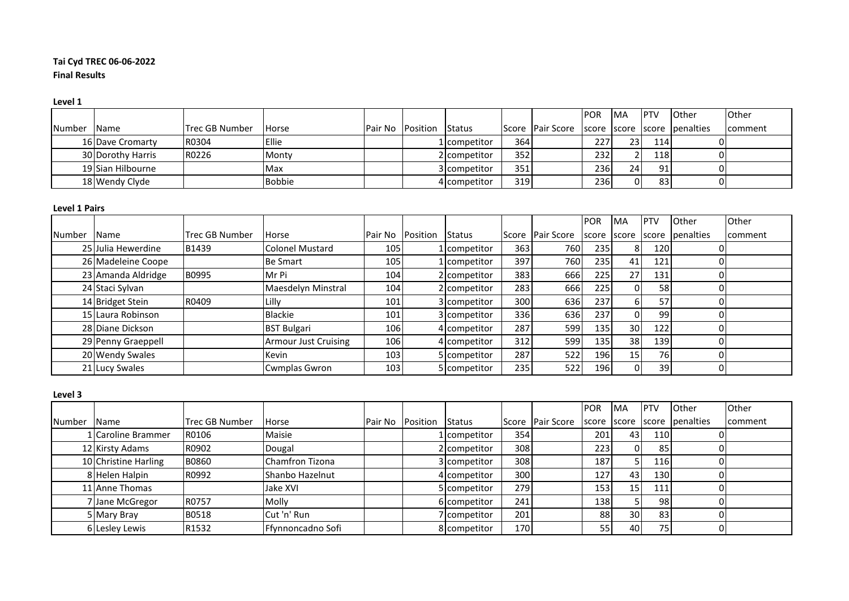# **Tai Cyd TREC 06-06-2022 Final Results**

#### **Level 1**

|             |                   |                       |               |                         |               |     |                                                  | <b>POR</b> | IMA | <b>IPTV</b> | <b>I</b> Other | <b>Other</b>   |
|-------------|-------------------|-----------------------|---------------|-------------------------|---------------|-----|--------------------------------------------------|------------|-----|-------------|----------------|----------------|
| Number Name |                   | <b>Trec GB Number</b> | <b>Horse</b>  | <b>Pair No Position</b> | <b>Status</b> |     | Score Pair Score Iscore Iscore Iscore Ipenalties |            |     |             |                | <b>comment</b> |
|             | 16 Dave Cromarty  | R0304                 | <b>Ellie</b>  |                         | 1 competitor  | 364 |                                                  | 227        | 23  | 114         |                |                |
|             | 30 Dorothy Harris | R0226                 | Monty         |                         | 2 competitor  | 352 |                                                  | 232        |     | <b>118</b>  |                |                |
|             | 19 Sian Hilbourne |                       | Max           |                         | 3 competitor  | 351 |                                                  | 236        | 24  | 91          |                |                |
|             | 18 Wendy Clyde    |                       | <b>Bobbie</b> |                         | 4 competitor  | 319 |                                                  | 236        | ΟI  | 83          |                |                |

## **Level 1 Pairs**

|               |                    |                       |                             |                  |               |       |                   | <b>POR</b> | <b>MA</b>       | PTV             | Other     | Other   |
|---------------|--------------------|-----------------------|-----------------------------|------------------|---------------|-------|-------------------|------------|-----------------|-----------------|-----------|---------|
| <b>Number</b> | <b>Name</b>        | <b>Trec GB Number</b> | Horse                       | Pair No Position | <b>Status</b> | Score | <b>Pair Score</b> | score      | score           | score           | penalties | comment |
|               | 25 Julia Hewerdine | B1439                 | <b>Colonel Mustard</b>      | 105              | 1 competitor  | 363   | 760               | 235        | 8               | 120             |           |         |
|               | 26 Madeleine Coope |                       | <b>Be Smart</b>             | 105              | 1 competitor  | 397   | 760               | 235        | 41              | 121             |           |         |
|               | 23 Amanda Aldridge | B0995                 | Mr Pi                       | 104              | 2 competitor  | 383   | 666               | 225        | 27              | 131             |           |         |
|               | 24 Staci Sylvan    |                       | Maesdelyn Minstral          | 104              | 2 competitor  | 283   | 666               | 225        | $\Omega$        | 58              |           |         |
|               | 14 Bridget Stein   | R0409                 | Lilly                       | 101              | 3 competitor  | 300l  | 636               | 237        | 6               | 57              |           |         |
|               | 15 Laura Robinson  |                       | <b>Blackie</b>              | 101              | 3 competitor  | 336   | 636               | 237        | ΩI              | 99              |           |         |
|               | 28 Diane Dickson   |                       | <b>BST Bulgari</b>          | 106              | 4 competitor  | 287   | 599               | 135        | 30 <sup>1</sup> | 122             |           |         |
|               | 29 Penny Graeppell |                       | <b>Armour Just Cruising</b> | 106              | 4 competitor  | 312   | 599               | 135        | 38              | 139             |           |         |
|               | 20 Wendy Swales    |                       | Kevin                       | 103              | 5 competitor  | 287   | 522               | 196        | 15 <sub>1</sub> | 76              |           |         |
|               | 21 Lucy Swales     |                       | <b>Cwmplas Gwron</b>        | 103              | 5 competitor  | 235   | 522               | 196        | $\Omega$        | 39 <sub>l</sub> |           |         |

#### **Level 3**

|        |                      |                       |                        |                  |               |             |                  | <b>POR</b> | <b>IMA</b>      | <b>IPTV</b> | <b>Other</b> | Other   |
|--------|----------------------|-----------------------|------------------------|------------------|---------------|-------------|------------------|------------|-----------------|-------------|--------------|---------|
| Number | <b>Name</b>          | <b>Trec GB Number</b> | <b>Horse</b>           | Pair No Position | <b>Status</b> |             | Score Pair Score | score      | score           | score       | penalties    | comment |
|        | 1 Caroline Brammer   | R0106                 | Maisie                 |                  | 1 competitor  | 354         |                  | 201        | 43 <sub>l</sub> | 110         |              |         |
|        | 12 Kirsty Adams      | R0902                 | Dougal                 |                  | 2 competitor  | 308         |                  | 223        |                 | 85          |              |         |
|        | 10 Christine Harling | <b>B0860</b>          | Chamfron Tizona        |                  | 3 competitor  | 308         |                  | 187        |                 | <b>116</b>  |              |         |
|        | 8 Helen Halpin       | R0992                 | <b>Shanbo Hazelnut</b> |                  | 4 competitor  | 300         |                  | 127        | 43 <sub>l</sub> | 130         |              |         |
|        | 11 Anne Thomas       |                       | Jake XVI               |                  | 5 competitor  | <b>2791</b> |                  | 153        | 15 <sub>l</sub> | 111         |              |         |
|        | 7 Jane McGregor      | <b>R0757</b>          | Molly                  |                  | 6 competitor  | 241         |                  | 138        |                 | 981         |              |         |
|        | 5 Mary Bray          | <b>B0518</b>          | Cut 'n' Run            |                  | Icompetitor   | 201         |                  | 88         | 30 <sup>1</sup> | 83I         |              |         |
|        | 6 Lesley Lewis       | R1532                 | Ffynnoncadno Sofi      |                  | 8 competitor  | 170         |                  | 55         | 40              | 75I         |              |         |